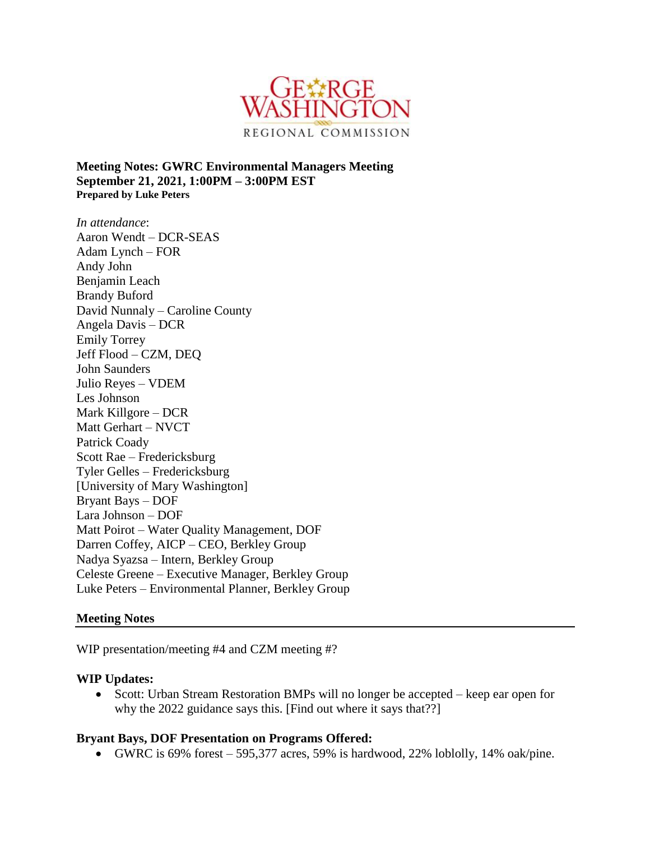

**Meeting Notes: GWRC Environmental Managers Meeting September 21, 2021, 1:00PM – 3:00PM EST Prepared by Luke Peters**

*In attendance*: Aaron Wendt – DCR-SEAS Adam Lynch – FOR Andy John Benjamin Leach Brandy Buford David Nunnaly – Caroline County Angela Davis – DCR Emily Torrey Jeff Flood – CZM, DEQ John Saunders Julio Reyes – VDEM Les Johnson Mark Killgore – DCR Matt Gerhart – NVCT Patrick Coady Scott Rae – Fredericksburg Tyler Gelles – Fredericksburg [University of Mary Washington] Bryant Bays – DOF Lara Johnson – DOF Matt Poirot – Water Quality Management, DOF Darren Coffey, AICP – CEO, Berkley Group Nadya Syazsa – Intern, Berkley Group Celeste Greene – Executive Manager, Berkley Group Luke Peters – Environmental Planner, Berkley Group

#### **Meeting Notes**

WIP presentation/meeting #4 and CZM meeting #?

#### **WIP Updates:**

• Scott: Urban Stream Restoration BMPs will no longer be accepted – keep ear open for why the 2022 guidance says this. [Find out where it says that??]

#### **Bryant Bays, DOF Presentation on Programs Offered:**

GWRC is  $69\%$  forest  $-595,377$  acres, 59% is hardwood, 22% loblolly, 14% oak/pine.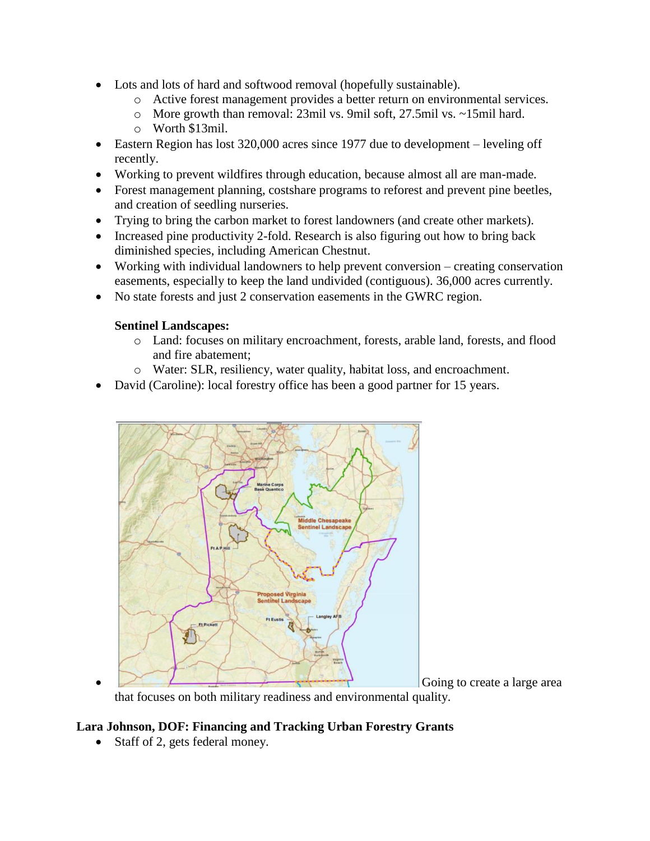- Lots and lots of hard and softwood removal (hopefully sustainable).
	- o Active forest management provides a better return on environmental services.
	- o More growth than removal: 23mil vs. 9mil soft, 27.5mil vs. ~15mil hard.
	- o Worth \$13mil.
- Eastern Region has lost 320,000 acres since 1977 due to development leveling off recently.
- Working to prevent wildfires through education, because almost all are man-made.
- Forest management planning, costshare programs to reforest and prevent pine beetles, and creation of seedling nurseries.
- Trying to bring the carbon market to forest landowners (and create other markets).
- Increased pine productivity 2-fold. Research is also figuring out how to bring back diminished species, including American Chestnut.
- Working with individual landowners to help prevent conversion creating conservation easements, especially to keep the land undivided (contiguous). 36,000 acres currently.
- No state forests and just 2 conservation easements in the GWRC region.

### **Sentinel Landscapes:**

- o Land: focuses on military encroachment, forests, arable land, forests, and flood and fire abatement;
- o Water: SLR, resiliency, water quality, habitat loss, and encroachment.
- David (Caroline): local forestry office has been a good partner for 15 years.



Going to create a large area

that focuses on both military readiness and environmental quality.

# **Lara Johnson, DOF: Financing and Tracking Urban Forestry Grants**

• Staff of 2, gets federal money.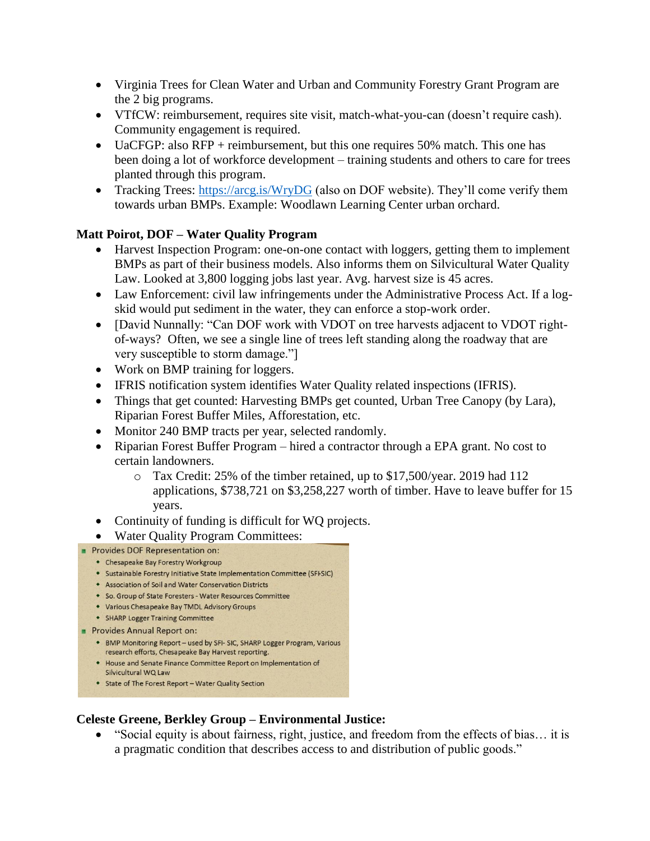- Virginia Trees for Clean Water and Urban and Community Forestry Grant Program are the 2 big programs.
- VTfCW: reimbursement, requires site visit, match-what-you-can (doesn't require cash). Community engagement is required.
- UaCFGP: also RFP + reimbursement, but this one requires 50% match. This one has been doing a lot of workforce development – training students and others to care for trees planted through this program.
- Tracking Trees:<https://arcg.is/WryDG> (also on DOF website). They'll come verify them towards urban BMPs. Example: Woodlawn Learning Center urban orchard.

## **Matt Poirot, DOF – Water Quality Program**

- Harvest Inspection Program: one-on-one contact with loggers, getting them to implement BMPs as part of their business models. Also informs them on Silvicultural Water Quality Law. Looked at 3,800 logging jobs last year. Avg. harvest size is 45 acres.
- Law Enforcement: civil law infringements under the Administrative Process Act. If a logskid would put sediment in the water, they can enforce a stop-work order.
- [David Nunnally: "Can DOF work with VDOT on tree harvests adjacent to VDOT rightof-ways? Often, we see a single line of trees left standing along the roadway that are very susceptible to storm damage."]
- Work on BMP training for loggers.
- IFRIS notification system identifies Water Quality related inspections (IFRIS).
- Things that get counted: Harvesting BMPs get counted, Urban Tree Canopy (by Lara), Riparian Forest Buffer Miles, Afforestation, etc.
- Monitor 240 BMP tracts per year, selected randomly.
- Riparian Forest Buffer Program hired a contractor through a EPA grant. No cost to certain landowners.
	- o Tax Credit: 25% of the timber retained, up to \$17,500/year. 2019 had 112 applications, \$738,721 on \$3,258,227 worth of timber. Have to leave buffer for 15 years.
- Continuity of funding is difficult for WQ projects.
- Water Quality Program Committees:
- Provides DOF Representation on:
	- Chesapeake Bay Forestry Workgroup
	- Sustainable Forestry Initiative State Implementation Committee (SFFSIC)
	- Association of Soil and Water Conservation Districts
	- So. Group of State Foresters Water Resources Committee
	- Various Chesapeake Bay TMDL Advisory Groups
	- SHARP Logger Training Committee
- Provides Annual Report on:
	- BMP Monitoring Report used by SFI- SIC, SHARP Logger Program, Various research efforts, Chesapeake Bay Harvest reporting.
	- House and Senate Finance Committee Report on Implementation of Silvicultural WQ Law
	- State of The Forest Report Water Quality Section

## **Celeste Greene, Berkley Group – Environmental Justice:**

 "Social equity is about fairness, right, justice, and freedom from the effects of bias… it is a pragmatic condition that describes access to and distribution of public goods."